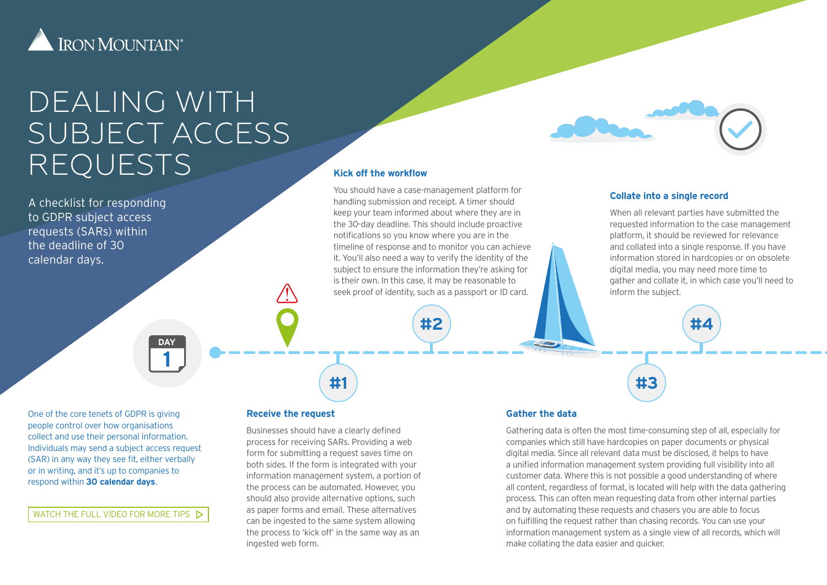

# DEALING WITH SUBJECT ACCESS REQUESTS

A checklist for responding to GDPR subject access requests (SARs) within the deadline of 30 calendar days.

# **Kick off the workflow**

You should have a case-management platform for handling submission and receipt. A timer should keep your team informed about where they are in the 30-day deadline. This should include proactive notifications so you know where you are in the timeline of response and to monitor you can achieve it. You'll also need a way to verify the identity of the subject to ensure the information they're asking for is their own. In this case, it may be reasonable to seek proof of identity, such as a passport or ID card.

**#2**

#### **Collate into a single record**

When all relevant parties have submitted the requested information to the case management platform, it should be reviewed for relevance and collated into a single response. If you have information stored in hardcopies or on obsolete digital media, you may need more time to gather and collate it, in which case you'll need to inform the subject.

**#4**

**DAY 1**

One of the core tenets of GDPR is giving people control over how organisations collect and use their personal information. Individuals may send a subject access request (SAR) in any way they see fit, either verbally or in writing, and it's up to companies to respond within **30 calendar days**.

WATCH THE FULL VIDEO FOR MORE TIPS  $\triangleright$ 

#### **Receive the request**

Businesses should have a clearly defined process for receiving SARs. Providing a web form for submitting a request saves time on both sides. If the form is integrated with your information management system, a portion of the process can be automated. However, you should also provide alternative options, such as paper forms and email. These alternatives can be ingested to the same system allowing the process to 'kick off' in the same way as an ingested web form.

**#1**

### **Gather the data**

Gathering data is often the most time-consuming step of all, especially for companies which still have hardcopies on paper documents or physical digital media. Since all relevant data must be disclosed, it helps to have a unified information management system providing full visibility into all customer data. Where this is not possible a good understanding of where all content, regardless of format, is located will help with the data gathering process. This can often mean requesting data from other internal parties and by automating these requests and chasers you are able to focus on fulfilling the request rather than chasing records. You can use your information management system as a single view of all records, which will make collating the data easier and quicker.

**#3**